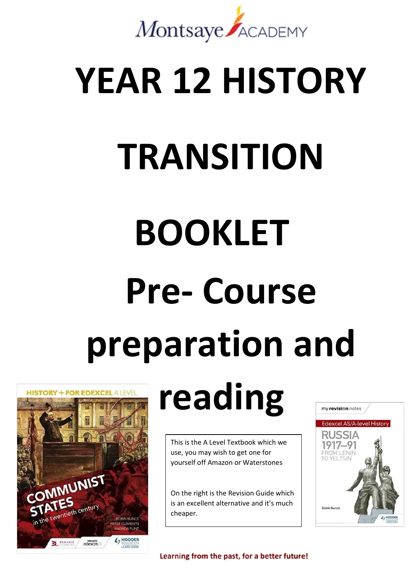

# **YEAR 12 HISTORY**

# **TRANSITION**

# **BOOKLET Pre- Course preparation and**



## **reading**

This is the A Level Textbook which we use, you may wish to get one for yourself off Amazon or Waterstones

On the right is the Revision Guide which is an excellent alternative and it's much cheaper.



Learning from the past, for a better future!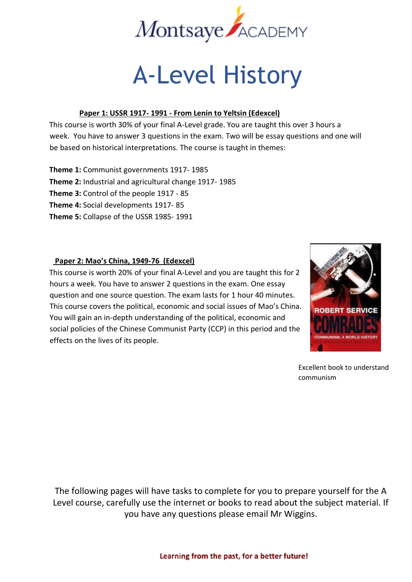

### A-Level History

#### **Paper 1: USSR 1917- 1991 - From Lenin to Yeltsin (Edexcel)**

This course is worth 30% of your final A-Level grade. You are taught this over 3 hours a week. You have to answer 3 questions in the exam. Two will be essay questions and one will be based on historical interpretations. The course is taught in themes:

**Theme 1:** Communist governments 1917- 1985 **Theme 2:** Industrial and agricultural change 1917- 1985 **Theme 3:** Control of the people 1917 - 85 **Theme 4:** Social developments 1917- 85 **Theme 5:** Collapse of the USSR 1985- 1991

#### **Paper 2: Mao's China, 1949-76 (Edexcel)**

This course is worth 20% of your final A-Level and you are taught this for 2 hours a week. You have to answer 2 questions in the exam. One essay question and one source question. The exam lasts for 1 hour 40 minutes. This course covers the political, economic and social issues of Mao's China. You will gain an in-depth understanding of the political, economic and social policies of the Chinese Communist Party (CCP) in this period and the effects on the lives of its people.



Excellent book to understand communism

The following pages will have tasks to complete for you to prepare yourself for the A Level course, carefully use the internet or books to read about the subject material. If you have any questions please email Mr Wiggins.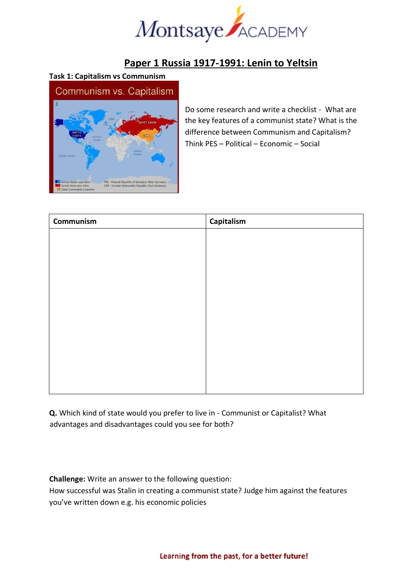

#### **Paper 1 Russia 1917-1991: Lenin to Yeltsin**

#### **Task 1: Capitalism vs Communism**



Do some research and write a checklist - What are the key features of a communist state? What is the difference between Communism and Capitalism? Think PES – Political – Economic – Social

| Communism | Capitalism |
|-----------|------------|
|           |            |
|           |            |
|           |            |
|           |            |
|           |            |
|           |            |
|           |            |
|           |            |
|           |            |
|           |            |
|           |            |
|           |            |

**Q.** Which kind of state would you prefer to live in - Communist or Capitalist? What advantages and disadvantages could you see for both?

**Challenge:** Write an answer to the following question:

How successful was Stalin in creating a communist state? Judge him against the features you've written down e.g. his economic policies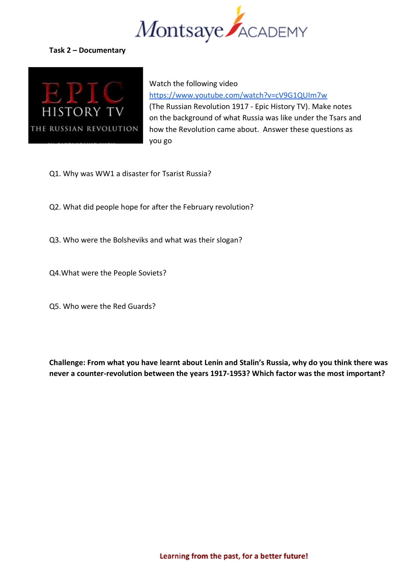

#### **Task 2 – Documentary**



Watch the following video <https://www.youtube.com/watch?v=cV9G1QUIm7w> (The Russian Revolution 1917 - Epic History TV). Make notes on the background of what Russia was like under the Tsars and how the Revolution came about. Answer these questions as you go

- Q1. Why was WW1 a disaster for Tsarist Russia?
- Q2. What did people hope for after the February revolution?
- Q3. Who were the Bolsheviks and what was their slogan?
- Q4.What were the People Soviets?
- Q5. Who were the Red Guards?

**Challenge: From what you have learnt about Lenin and Stalin's Russia, why do you think there was never a counter-revolution between the years 1917-1953? Which factor was the most important?**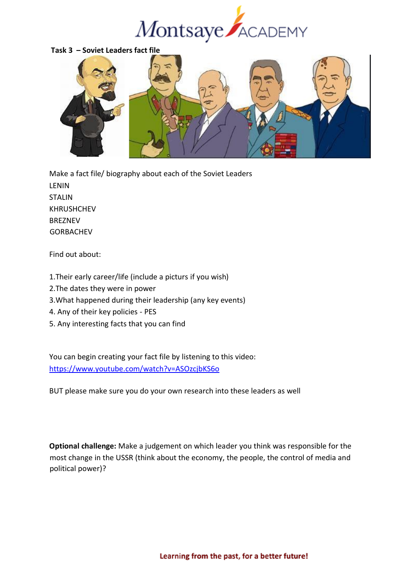



Make a fact file/ biography about each of the Soviet Leaders LENIN STALIN KHRUSHCHEV BREZNEV GORBACHEV

Find out about:

- 1.Their early career/life (include a picturs if you wish)
- 2.The dates they were in power
- 3.What happened during their leadership (any key events)
- 4. Any of their key policies PES
- 5. Any interesting facts that you can find

You can begin creating your fact file by listening to this video: <https://www.youtube.com/watch?v=ASOzcjbKS6o>

BUT please make sure you do your own research into these leaders as well

**Optional challenge:** Make a judgement on which leader you think was responsible for the most change in the USSR (think about the economy, the people, the control of media and political power)?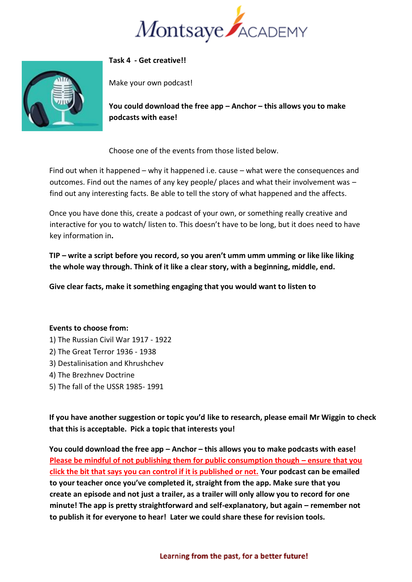



#### **Task 4 - Get creative!!**

Make your own podcast!

**You could download the free app – Anchor – this allows you to make podcasts with ease!**

Choose one of the events from those listed below.

Find out when it happened – why it happened i.e. cause – what were the consequences and outcomes. Find out the names of any key people/ places and what their involvement was – find out any interesting facts. Be able to tell the story of what happened and the affects.

Once you have done this, create a podcast of your own, or something really creative and interactive for you to watch/ listen to. This doesn't have to be long, but it does need to have key information in**.** 

**TIP – write a script before you record, so you aren't umm umm umming or like like liking the whole way through. Think of it like a clear story, with a beginning, middle, end.** 

**Give clear facts, make it something engaging that you would want to listen to** 

#### **Events to choose from:**

- 1) The Russian Civil War 1917 1922
- 2) The Great Terror 1936 1938
- 3) Destalinisation and Khrushchev
- 4) The Brezhnev Doctrine
- 5) The fall of the USSR 1985- 1991

**If you have another suggestion or topic you'd like to research, please email Mr Wiggin to check that this is acceptable. Pick a topic that interests you!** 

**You could download the free app – Anchor – this allows you to make podcasts with ease! Please be mindful of not publishing them for public consumption though – ensure that you click the bit that says you can control if it is published or not. Your podcast can be emailed to your teacher once you've completed it, straight from the app. Make sure that you create an episode and not just a trailer, as a trailer will only allow you to record for one minute! The app is pretty straightforward and self-explanatory, but again – remember not to publish it for everyone to hear! Later we could share these for revision tools.**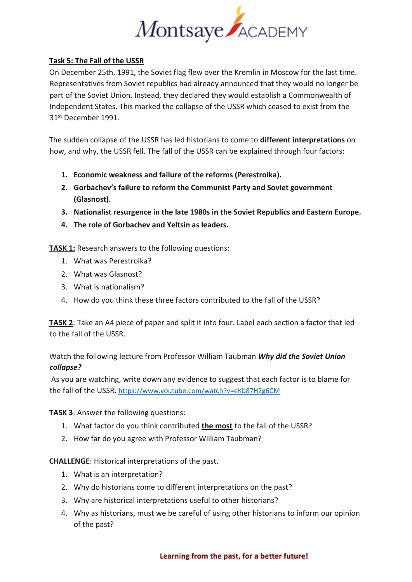

#### **Task 5: The Fall of the USSR**

On December 25th, 1991, the Soviet flag flew over the Kremlin in Moscow for the last time. Representatives from Soviet republics had already announced that they would no longer be part of the Soviet Union. Instead, they declared they would establish a Commonwealth of Independent States. This marked the collapse of the USSR which ceased to exist from the 31st December 1991.

The sudden collapse of the USSR has led historians to come to **different interpretations** on how, and why, the USSR fell. The fall of the USSR can be explained through four factors:

- **1. Economic weakness and failure of the reforms (Perestroika).**
- **2. Gorbachev's failure to reform the Communist Party and Soviet government (Glasnost).**
- **3. Nationalist resurgence in the late 1980s in the Soviet Republics and Eastern Europe.**
- **4. The role of Gorbachev and Yeltsin as leaders.**

**TASK 1:** Research answers to the following questions:

- 1. What was Perestroika?
- 2. What was Glasnost?
- 3. What is nationalism?
- 4. How do you think these three factors contributed to the fall of the USSR?

**TASK 2**: Take an A4 piece of paper and split it into four. Label each section a factor that led to the fall of the USSR.

#### Watch the following lecture from Professor William Taubman *Why did the Soviet Union collapse?*

As you are watching, write down any evidence to suggest that each factor is to blame for the fall of the USSR. <https://www.youtube.com/watch?v=eKb87H2g6CM>

**TASK 3**: Answer the following questions:

- 1. What factor do you think contributed **the most** to the fall of the USSR?
- 2. How far do you agree with Professor William Taubman?

**CHALLENGE**: Historical interpretations of the past.

- 1. What is an interpretation?
- 2. Why do historians come to different interpretations on the past?
- 3. Why are historical interpretations useful to other historians?
- 4. Why as historians, must we be careful of using other historians to inform our opinion of the past?

#### Learning from the past, for a better future!